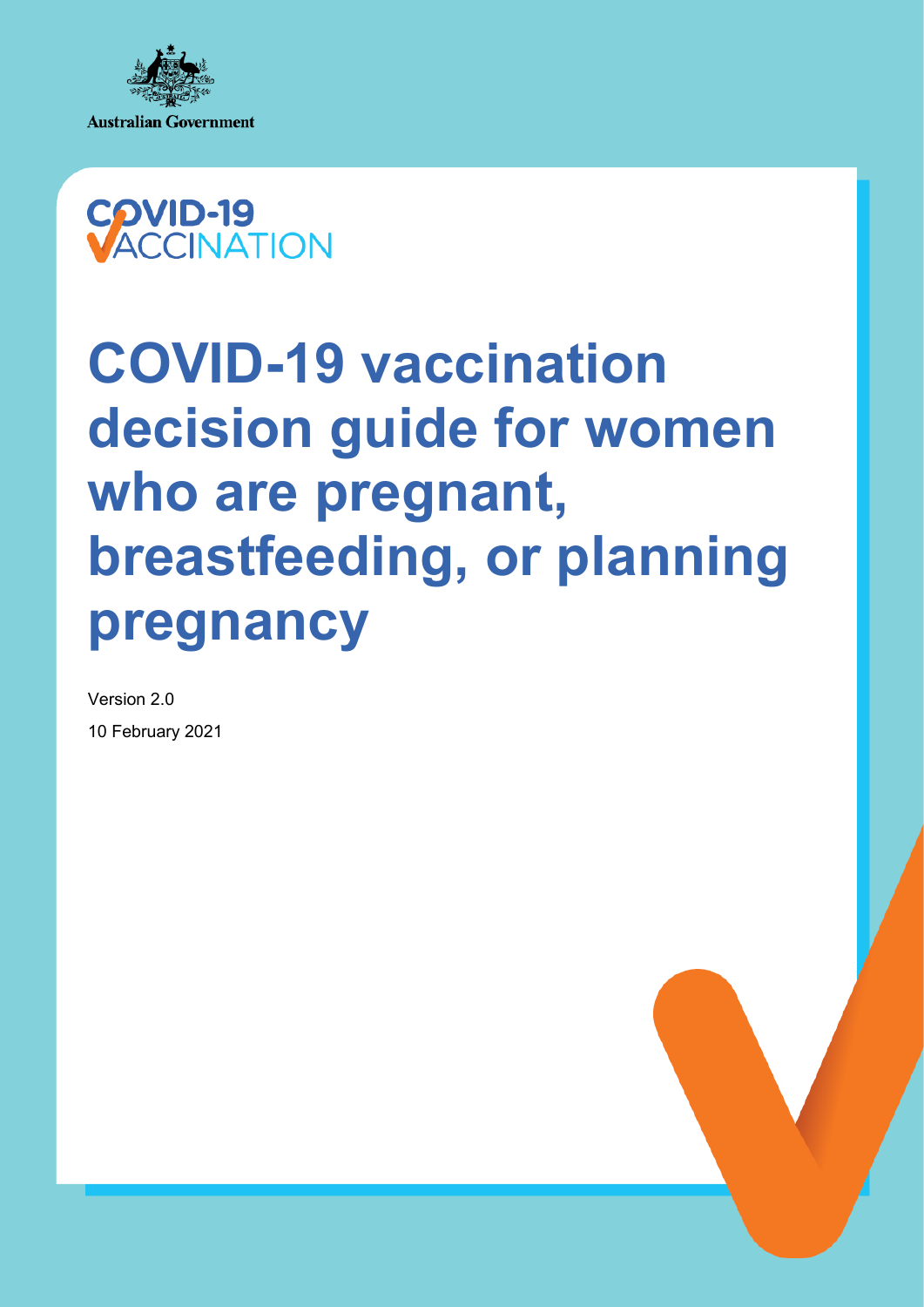



# **COVID-19 vaccination decision guide for women who are pregnant, breastfeeding, or planning pregnancy**

Version 2.0 10 February 2021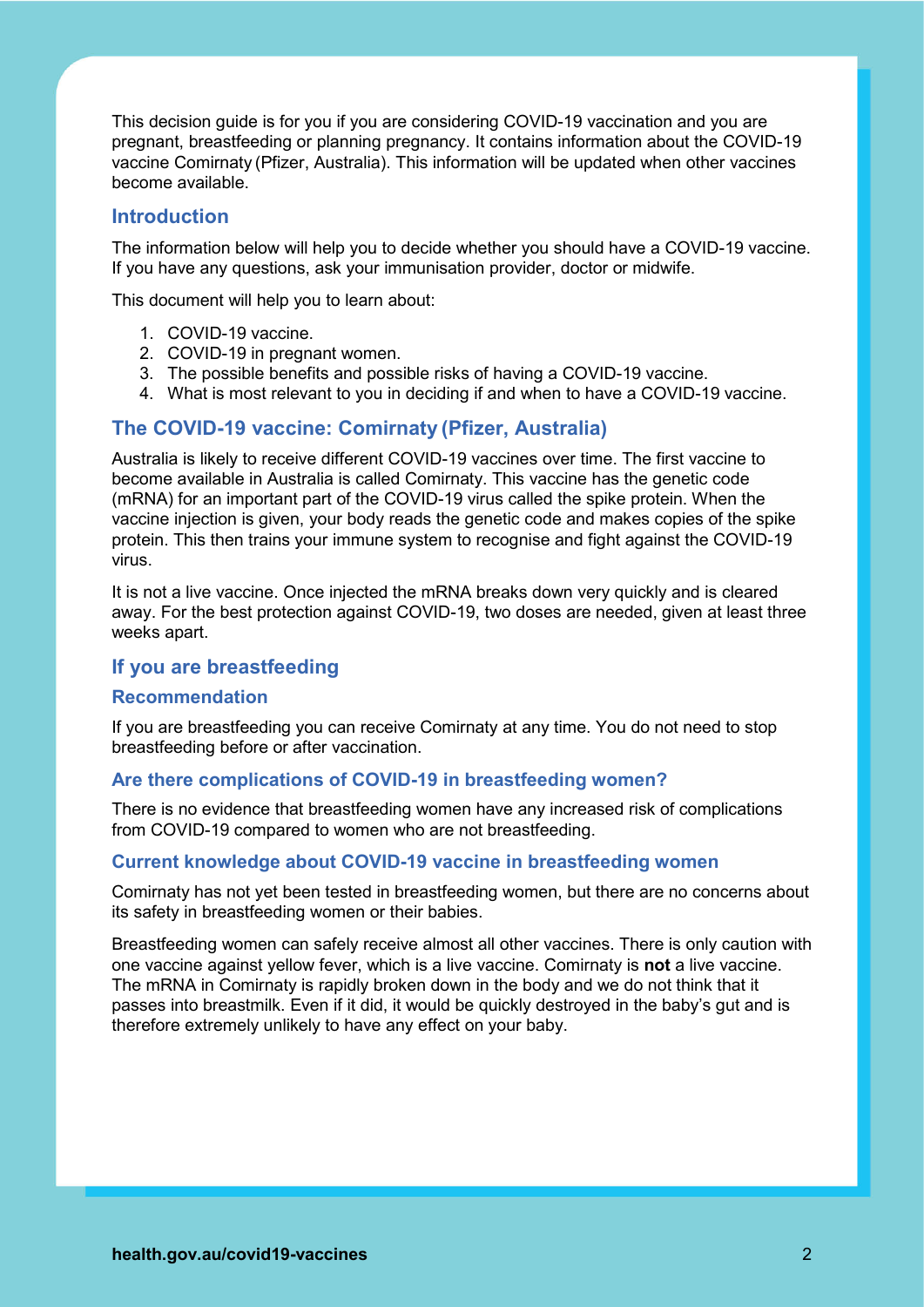This decision guide is for you if you are considering COVID-19 vaccination and you are pregnant, breastfeeding or planning pregnancy. It contains information about the COVID-19 vaccine Comirnaty (Pfizer, Australia). This information will be updated when other vaccines become available.

#### **Introduction**

The information below will help you to decide whether you should have a COVID-19 vaccine. If you have any questions, ask your immunisation provider, doctor or midwife.

This document will help you to learn about:

- 1. COVID-19 vaccine.
- 2. COVID-19 in pregnant women.
- 3. The possible benefits and possible risks of having a COVID-19 vaccine.
- 4. What is most relevant to you in deciding if and when to have a COVID-19 vaccine.

#### **The COVID-19 vaccine: Comirnaty (Pfizer, Australia)**

Australia is likely to receive different COVID-19 vaccines over time. The first vaccine to become available in Australia is called Comirnaty. This vaccine has the genetic code (mRNA) for an important part of the COVID-19 virus called the spike protein. When the vaccine injection is given, your body reads the genetic code and makes copies of the spike protein. This then trains your immune system to recognise and fight against the COVID-19 virus.

It is not a live vaccine. Once injected the mRNA breaks down very quickly and is cleared away. For the best protection against COVID-19, two doses are needed, given at least three weeks apart.

#### **If you are breastfeeding**

#### **Recommendation**

If you are breastfeeding you can receive Comirnaty at any time. You do not need to stop breastfeeding before or after vaccination.

#### **Are there complications of COVID-19 in breastfeeding women?**

There is no evidence that breastfeeding women have any increased risk of complications from COVID-19 compared to women who are not breastfeeding.

#### **Current knowledge about COVID-19 vaccine in breastfeeding women**

Comirnaty has not yet been tested in breastfeeding women, but there are no concerns about its safety in breastfeeding women or their babies.

Breastfeeding women can safely receive almost all other vaccines. There is only caution with one vaccine against yellow fever, which is a live vaccine. Comirnaty is **not** a live vaccine. The mRNA in Comirnaty is rapidly broken down in the body and we do not think that it passes into breastmilk. Even if it did, it would be quickly destroyed in the baby's gut and is therefore extremely unlikely to have any effect on your baby.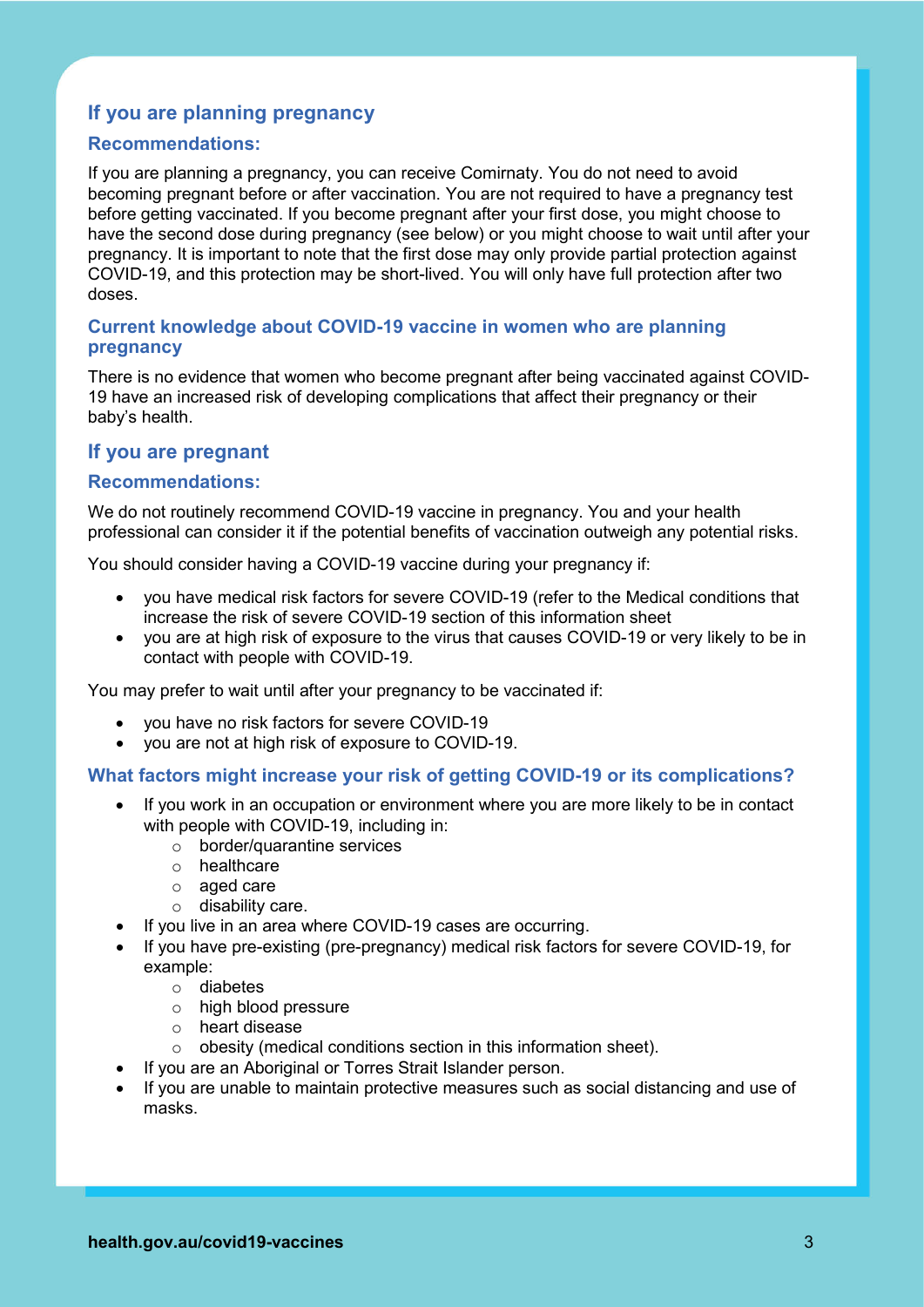## **If you are planning pregnancy**

#### **Recommendations:**

If you are planning a pregnancy, you can receive Comirnaty. You do not need to avoid becoming pregnant before or after vaccination. You are not required to have a pregnancy test before getting vaccinated. If you become pregnant after your first dose, you might choose to have the second dose during pregnancy (see below) or you might choose to wait until after your pregnancy. It is important to note that the first dose may only provide partial protection against COVID-19, and this protection may be short-lived. You will only have full protection after two doses.

#### **Current knowledge about COVID-19 vaccine in women who are planning pregnancy**

There is no evidence that women who become pregnant after being vaccinated against COVID-19 have an increased risk of developing complications that affect their pregnancy or their baby's health.

#### **If you are pregnant**

#### **Recommendations:**

We do not routinely recommend COVID-19 vaccine in pregnancy. You and your health professional can consider it if the potential benefits of vaccination outweigh any potential risks.

You should consider having a COVID-19 vaccine during your pregnancy if:

- you have medical risk factors for severe COVID-19 (refer to the Medical conditions that increase the risk of severe COVID-19 section of this information sheet
- you are at high risk of exposure to the virus that causes COVID-19 or very likely to be in contact with people with COVID-19.

You may prefer to wait until after your pregnancy to be vaccinated if:

- you have no risk factors for severe COVID-19
- you are not at high risk of exposure to COVID-19.

#### **What factors might increase your risk of getting COVID-19 or its complications?**

- If you work in an occupation or environment where you are more likely to be in contact with people with COVID-19, including in:
	- o border/quarantine services
	- o healthcare
	- o aged care
	- o disability care.
- If you live in an area where COVID-19 cases are occurring.
- If you have pre-existing (pre-pregnancy) medical risk factors for severe COVID-19, for example:
	- o diabetes
	- o high blood pressure
	- o heart disease
	- o obesity (medical conditions section in this information sheet).
- If you are an Aboriginal or Torres Strait Islander person.
- If you are unable to maintain protective measures such as social distancing and use of masks.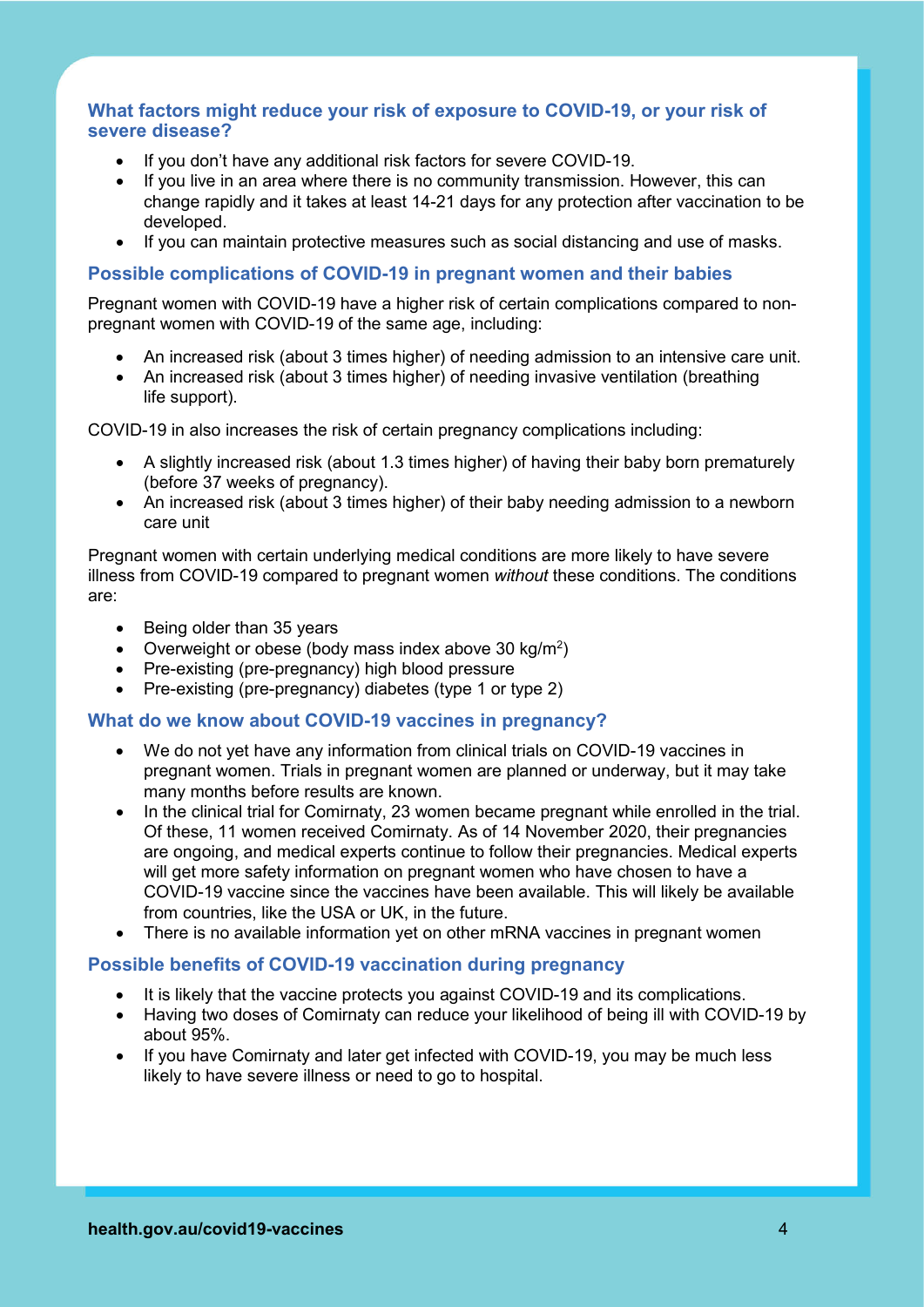#### **What factors might reduce your risk of exposure to COVID-19, or your risk of severe disease?**

- If you don't have any additional risk factors for severe COVID-19.
- If you live in an area where there is no community transmission. However, this can change rapidly and it takes at least 14-21 days for any protection after vaccination to be developed.
- If you can maintain protective measures such as social distancing and use of masks.

#### **Possible complications of COVID-19 in pregnant women and their babies**

Pregnant women with COVID-19 have a higher risk of certain complications compared to nonpregnant women with COVID-19 of the same age, including:

- An increased risk (about 3 times higher) of needing admission to an intensive care unit.
- An increased risk (about 3 times higher) of needing invasive ventilation (breathing life support).

COVID-19 in also increases the risk of certain pregnancy complications including:

- A slightly increased risk (about 1.3 times higher) of having their baby born prematurely (before 37 weeks of pregnancy).
- An increased risk (about 3 times higher) of their baby needing admission to a newborn care unit

Pregnant women with certain underlying medical conditions are more likely to have severe illness from COVID-19 compared to pregnant women *without* these conditions. The conditions are:

- Being older than 35 years
- Overweight or obese (body mass index above 30 kg/m<sup>2</sup>)
- Pre-existing (pre-pregnancy) high blood pressure
- Pre-existing (pre-pregnancy) diabetes (type 1 or type 2)

#### **What do we know about COVID-19 vaccines in pregnancy?**

- We do not yet have any information from clinical trials on COVID-19 vaccines in pregnant women. Trials in pregnant women are planned or underway, but it may take many months before results are known.
- In the clinical trial for Comirnaty, 23 women became pregnant while enrolled in the trial. Of these, 11 women received Comirnaty. As of 14 November 2020, their pregnancies are ongoing, and medical experts continue to follow their pregnancies. Medical experts will get more safety information on pregnant women who have chosen to have a COVID-19 vaccine since the vaccines have been available. This will likely be available from countries, like the USA or UK, in the future.
- There is no available information yet on other mRNA vaccines in pregnant women

#### **Possible benefits of COVID-19 vaccination during pregnancy**

- It is likely that the vaccine protects you against COVID-19 and its complications.
- Having two doses of Comirnaty can reduce your likelihood of being ill with COVID-19 by about 95%.
- If you have Comirnaty and later get infected with COVID-19, you may be much less likely to have severe illness or need to go to hospital.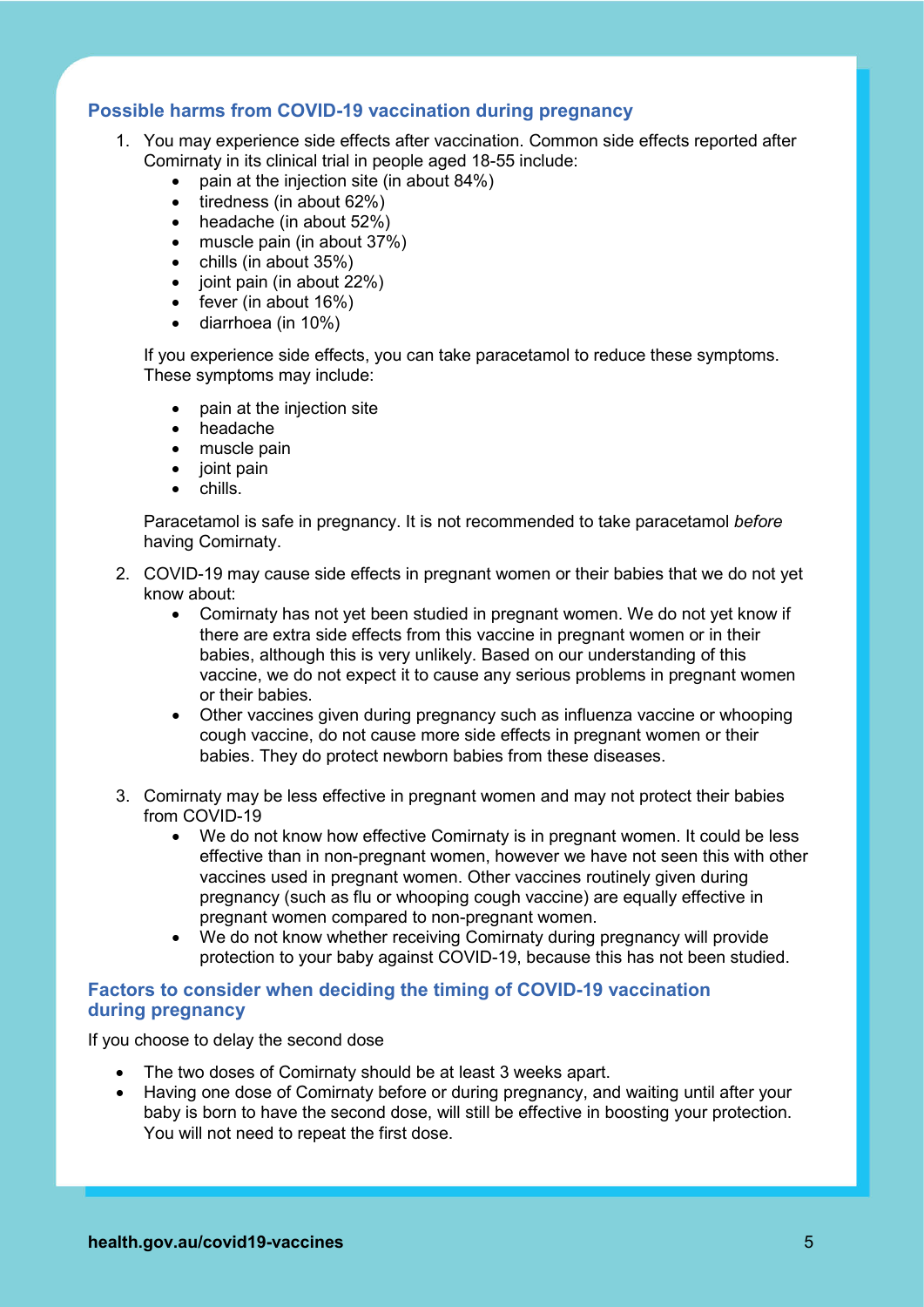## **Possible harms from COVID-19 vaccination during pregnancy**

- 1. You may experience side effects after vaccination. Common side effects reported after Comirnaty in its clinical trial in people aged 18-55 include:
	- pain at the injection site (in about 84%)
	- tiredness (in about 62%)
	- headache (in about 52%)
	- muscle pain (in about 37%)
	- chills (in about 35%)
	- joint pain (in about 22%)
	- fever (in about 16%)
	- diarrhoea (in 10%)

If you experience side effects, you can take paracetamol to reduce these symptoms. These symptoms may include:

- pain at the injection site
- headache
- muscle pain
- joint pain
- chills.

Paracetamol is safe in pregnancy. It is not recommended to take paracetamol *before* having Comirnaty.

- 2. COVID-19 may cause side effects in pregnant women or their babies that we do not yet know about:
	- Comirnaty has not yet been studied in pregnant women. We do not yet know if there are extra side effects from this vaccine in pregnant women or in their babies, although this is very unlikely. Based on our understanding of this vaccine, we do not expect it to cause any serious problems in pregnant women or their babies.
	- Other vaccines given during pregnancy such as influenza vaccine or whooping cough vaccine, do not cause more side effects in pregnant women or their babies. They do protect newborn babies from these diseases.
- 3. Comirnaty may be less effective in pregnant women and may not protect their babies from COVID-19
	- We do not know how effective Comirnaty is in pregnant women. It could be less effective than in non-pregnant women, however we have not seen this with other vaccines used in pregnant women. Other vaccines routinely given during pregnancy (such as flu or whooping cough vaccine) are equally effective in pregnant women compared to non-pregnant women.
	- We do not know whether receiving Comirnaty during pregnancy will provide protection to your baby against COVID-19, because this has not been studied.

#### **Factors to consider when deciding the timing of COVID-19 vaccination during pregnancy**

If you choose to delay the second dose

- The two doses of Comirnaty should be at least 3 weeks apart.
- Having one dose of Comirnaty before or during pregnancy, and waiting until after your baby is born to have the second dose, will still be effective in boosting your protection. You will not need to repeat the first dose.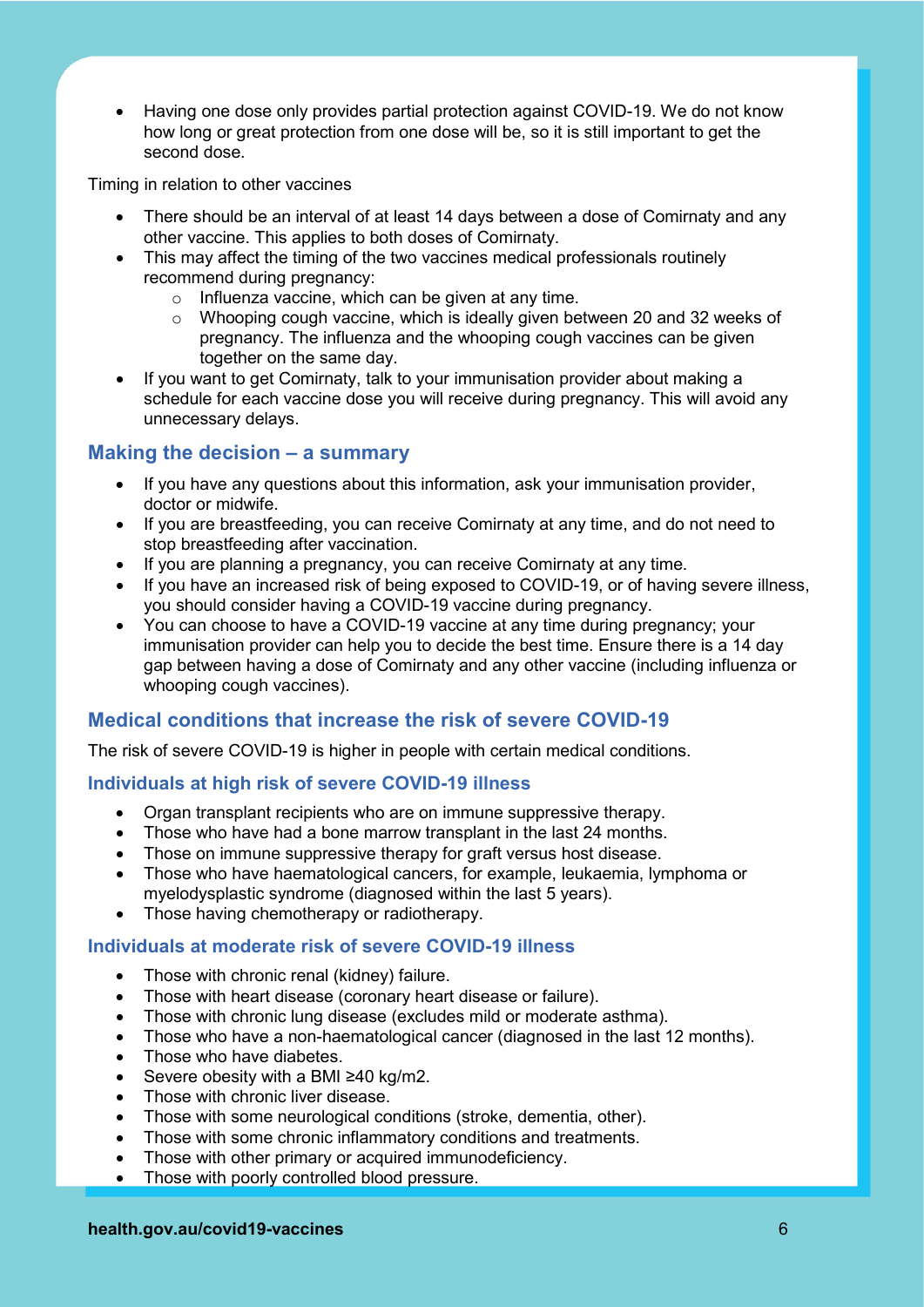• Having one dose only provides partial protection against COVID-19. We do not know how long or great protection from one dose will be, so it is still important to get the second dose.

Timing in relation to other vaccines

- There should be an interval of at least 14 days between a dose of Comirnaty and any other vaccine. This applies to both doses of Comirnaty.
- This may affect the timing of the two vaccines medical professionals routinely recommend during pregnancy:
	- o Influenza vaccine, which can be given at any time.
	- o Whooping cough vaccine, which is ideally given between 20 and 32 weeks of pregnancy. The influenza and the whooping cough vaccines can be given together on the same day.
- If you want to get Comirnaty, talk to your immunisation provider about making a schedule for each vaccine dose you will receive during pregnancy. This will avoid any unnecessary delays.

## **Making the decision – a summary**

- If you have any questions about this information, ask your immunisation provider, doctor or midwife.
- If you are breastfeeding, you can receive Comirnaty at any time, and do not need to stop breastfeeding after vaccination.
- If you are planning a pregnancy, you can receive Comirnaty at any time.
- If you have an increased risk of being exposed to COVID-19, or of having severe illness, you should consider having a COVID-19 vaccine during pregnancy.
- You can choose to have a COVID-19 vaccine at any time during pregnancy; your immunisation provider can help you to decide the best time. Ensure there is a 14 day gap between having a dose of Comirnaty and any other vaccine (including influenza or whooping cough vaccines).

## **Medical conditions that increase the risk of severe COVID-19**

The risk of severe COVID-19 is higher in people with certain medical conditions.

#### **Individuals at high risk of severe COVID-19 illness**

- Organ transplant recipients who are on immune suppressive therapy.
- Those who have had a bone marrow transplant in the last 24 months.
- Those on immune suppressive therapy for graft versus host disease.
- Those who have haematological cancers, for example, leukaemia, lymphoma or myelodysplastic syndrome (diagnosed within the last 5 years).
- Those having chemotherapy or radiotherapy.

#### **Individuals at moderate risk of severe COVID-19 illness**

- Those with chronic renal (kidney) failure.
- Those with heart disease (coronary heart disease or failure).
- Those with chronic lung disease (excludes mild or moderate asthma).
- Those who have a non-haematological cancer (diagnosed in the last 12 months).
- Those who have diabetes.
- Severe obesity with a BMI ≥40 kg/m2.
- Those with chronic liver disease.
- Those with some neurological conditions (stroke, dementia, other).
- Those with some chronic inflammatory conditions and treatments.
- Those with other primary or acquired immunodeficiency.
- Those with poorly controlled blood pressure.

#### **health.gov.au/covid19-vaccines** 6